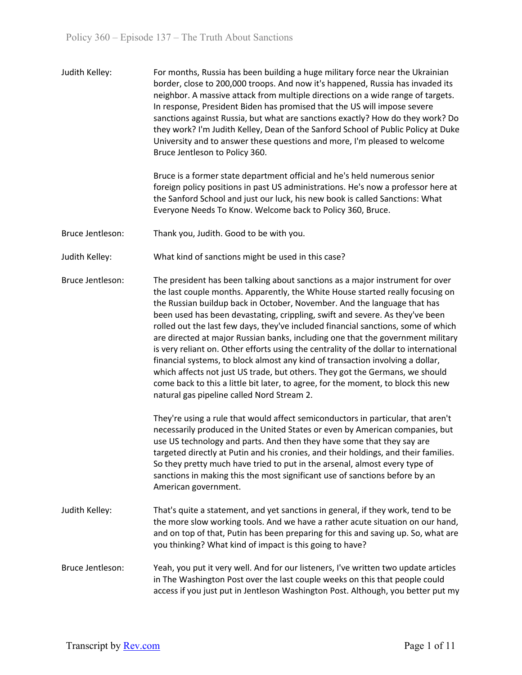| Judith Kelley:   | For months, Russia has been building a huge military force near the Ukrainian<br>border, close to 200,000 troops. And now it's happened, Russia has invaded its<br>neighbor. A massive attack from multiple directions on a wide range of targets.<br>In response, President Biden has promised that the US will impose severe<br>sanctions against Russia, but what are sanctions exactly? How do they work? Do<br>they work? I'm Judith Kelley, Dean of the Sanford School of Public Policy at Duke<br>University and to answer these questions and more, I'm pleased to welcome<br>Bruce Jentleson to Policy 360.                                                                                                                                                                                                                                                                              |
|------------------|---------------------------------------------------------------------------------------------------------------------------------------------------------------------------------------------------------------------------------------------------------------------------------------------------------------------------------------------------------------------------------------------------------------------------------------------------------------------------------------------------------------------------------------------------------------------------------------------------------------------------------------------------------------------------------------------------------------------------------------------------------------------------------------------------------------------------------------------------------------------------------------------------|
|                  | Bruce is a former state department official and he's held numerous senior<br>foreign policy positions in past US administrations. He's now a professor here at<br>the Sanford School and just our luck, his new book is called Sanctions: What<br>Everyone Needs To Know. Welcome back to Policy 360, Bruce.                                                                                                                                                                                                                                                                                                                                                                                                                                                                                                                                                                                      |
| Bruce Jentleson: | Thank you, Judith. Good to be with you.                                                                                                                                                                                                                                                                                                                                                                                                                                                                                                                                                                                                                                                                                                                                                                                                                                                           |
| Judith Kelley:   | What kind of sanctions might be used in this case?                                                                                                                                                                                                                                                                                                                                                                                                                                                                                                                                                                                                                                                                                                                                                                                                                                                |
| Bruce Jentleson: | The president has been talking about sanctions as a major instrument for over<br>the last couple months. Apparently, the White House started really focusing on<br>the Russian buildup back in October, November. And the language that has<br>been used has been devastating, crippling, swift and severe. As they've been<br>rolled out the last few days, they've included financial sanctions, some of which<br>are directed at major Russian banks, including one that the government military<br>is very reliant on. Other efforts using the centrality of the dollar to international<br>financial systems, to block almost any kind of transaction involving a dollar,<br>which affects not just US trade, but others. They got the Germans, we should<br>come back to this a little bit later, to agree, for the moment, to block this new<br>natural gas pipeline called Nord Stream 2. |
|                  | They're using a rule that would affect semiconductors in particular, that aren't<br>necessarily produced in the United States or even by American companies, but<br>use US technology and parts. And then they have some that they say are<br>targeted directly at Putin and his cronies, and their holdings, and their families.<br>So they pretty much have tried to put in the arsenal, almost every type of<br>sanctions in making this the most significant use of sanctions before by an<br>American government.                                                                                                                                                                                                                                                                                                                                                                            |
| Judith Kelley:   | That's quite a statement, and yet sanctions in general, if they work, tend to be<br>the more slow working tools. And we have a rather acute situation on our hand,<br>and on top of that, Putin has been preparing for this and saving up. So, what are<br>you thinking? What kind of impact is this going to have?                                                                                                                                                                                                                                                                                                                                                                                                                                                                                                                                                                               |
| Bruce Jentleson: | Yeah, you put it very well. And for our listeners, I've written two update articles<br>in The Washington Post over the last couple weeks on this that people could<br>access if you just put in Jentleson Washington Post. Although, you better put my                                                                                                                                                                                                                                                                                                                                                                                                                                                                                                                                                                                                                                            |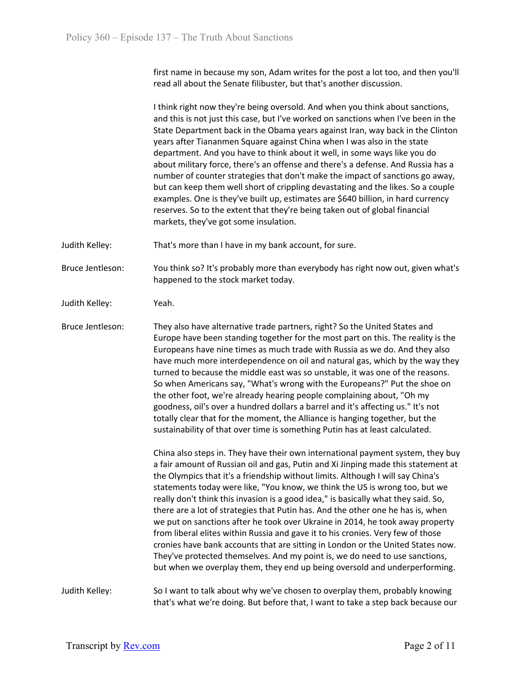first name in because my son, Adam writes for the post a lot too, and then you'll read all about the Senate filibuster, but that's another discussion.

I think right now they're being oversold. And when you think about sanctions, and this is not just this case, but I've worked on sanctions when I've been in the State Department back in the Obama years against Iran, way back in the Clinton years after Tiananmen Square against China when I was also in the state department. And you have to think about it well, in some ways like you do about military force, there's an offense and there's a defense. And Russia has a number of counter strategies that don't make the impact of sanctions go away, but can keep them well short of crippling devastating and the likes. So a couple examples. One is they've built up, estimates are \$640 billion, in hard currency reserves. So to the extent that they're being taken out of global financial markets, they've got some insulation.

Judith Kelley: That's more than I have in my bank account, for sure.

Bruce Jentleson: You think so? It's probably more than everybody has right now out, given what's happened to the stock market today.

Judith Kelley: Yeah.

Bruce Jentleson: They also have alternative trade partners, right? So the United States and Europe have been standing together for the most part on this. The reality is the Europeans have nine times as much trade with Russia as we do. And they also have much more interdependence on oil and natural gas, which by the way they turned to because the middle east was so unstable, it was one of the reasons. So when Americans say, "What's wrong with the Europeans?" Put the shoe on the other foot, we're already hearing people complaining about, "Oh my goodness, oil's over a hundred dollars a barrel and it's affecting us." It's not totally clear that for the moment, the Alliance is hanging together, but the sustainability of that over time is something Putin has at least calculated.

> China also steps in. They have their own international payment system, they buy a fair amount of Russian oil and gas, Putin and Xi Jinping made this statement at the Olympics that it's a friendship without limits. Although I will say China's statements today were like, "You know, we think the US is wrong too, but we really don't think this invasion is a good idea," is basically what they said. So, there are a lot of strategies that Putin has. And the other one he has is, when we put on sanctions after he took over Ukraine in 2014, he took away property from liberal elites within Russia and gave it to his cronies. Very few of those cronies have bank accounts that are sitting in London or the United States now. They've protected themselves. And my point is, we do need to use sanctions, but when we overplay them, they end up being oversold and underperforming.

Judith Kelley: So I want to talk about why we've chosen to overplay them, probably knowing that's what we're doing. But before that, I want to take a step back because our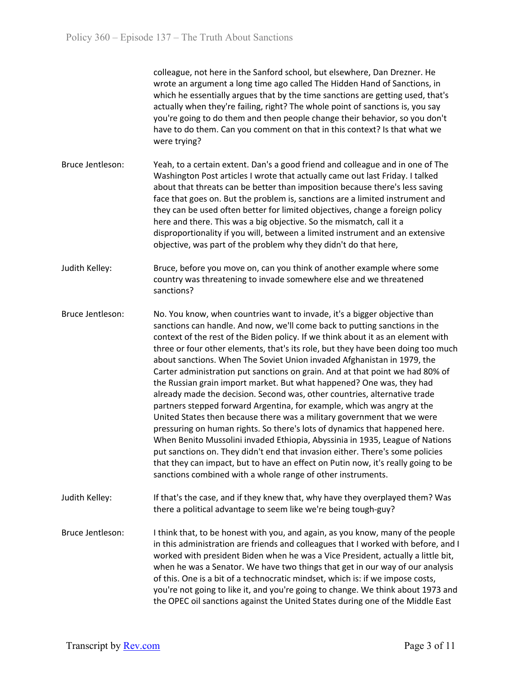colleague, not here in the Sanford school, but elsewhere, Dan Drezner. He wrote an argument a long time ago called The Hidden Hand of Sanctions, in which he essentially argues that by the time sanctions are getting used, that's actually when they're failing, right? The whole point of sanctions is, you say you're going to do them and then people change their behavior, so you don't have to do them. Can you comment on that in this context? Is that what we were trying?

- Bruce Jentleson: Yeah, to a certain extent. Dan's a good friend and colleague and in one of The Washington Post articles I wrote that actually came out last Friday. I talked about that threats can be better than imposition because there's less saving face that goes on. But the problem is, sanctions are a limited instrument and they can be used often better for limited objectives, change a foreign policy here and there. This was a big objective. So the mismatch, call it a disproportionality if you will, between a limited instrument and an extensive objective, was part of the problem why they didn't do that here,
- Judith Kelley: Bruce, before you move on, can you think of another example where some country was threatening to invade somewhere else and we threatened sanctions?
- Bruce Jentleson: No. You know, when countries want to invade, it's a bigger objective than sanctions can handle. And now, we'll come back to putting sanctions in the context of the rest of the Biden policy. If we think about it as an element with three or four other elements, that's its role, but they have been doing too much about sanctions. When The Soviet Union invaded Afghanistan in 1979, the Carter administration put sanctions on grain. And at that point we had 80% of the Russian grain import market. But what happened? One was, they had already made the decision. Second was, other countries, alternative trade partners stepped forward Argentina, for example, which was angry at the United States then because there was a military government that we were pressuring on human rights. So there's lots of dynamics that happened here. When Benito Mussolini invaded Ethiopia, Abyssinia in 1935, League of Nations put sanctions on. They didn't end that invasion either. There's some policies that they can impact, but to have an effect on Putin now, it's really going to be sanctions combined with a whole range of other instruments.
- Judith Kelley: If that's the case, and if they knew that, why have they overplayed them? Was there a political advantage to seem like we're being tough-guy?
- Bruce Jentleson: I think that, to be honest with you, and again, as you know, many of the people in this administration are friends and colleagues that I worked with before, and I worked with president Biden when he was a Vice President, actually a little bit, when he was a Senator. We have two things that get in our way of our analysis of this. One is a bit of a technocratic mindset, which is: if we impose costs, you're not going to like it, and you're going to change. We think about 1973 and the OPEC oil sanctions against the United States during one of the Middle East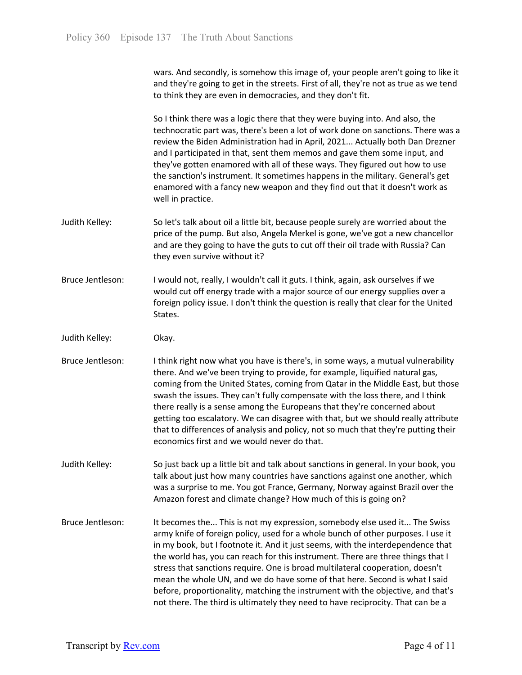wars. And secondly, is somehow this image of, your people aren't going to like it and they're going to get in the streets. First of all, they're not as true as we tend to think they are even in democracies, and they don't fit.

So I think there was a logic there that they were buying into. And also, the technocratic part was, there's been a lot of work done on sanctions. There was a review the Biden Administration had in April, 2021... Actually both Dan Drezner and I participated in that, sent them memos and gave them some input, and they've gotten enamored with all of these ways. They figured out how to use the sanction's instrument. It sometimes happens in the military. General's get enamored with a fancy new weapon and they find out that it doesn't work as well in practice.

- Judith Kelley: So let's talk about oil a little bit, because people surely are worried about the price of the pump. But also, Angela Merkel is gone, we've got a new chancellor and are they going to have the guts to cut off their oil trade with Russia? Can they even survive without it?
- Bruce Jentleson: I would not, really, I wouldn't call it guts. I think, again, ask ourselves if we would cut off energy trade with a major source of our energy supplies over a foreign policy issue. I don't think the question is really that clear for the United States.
- Judith Kelley: Okay.
- Bruce Jentleson: I think right now what you have is there's, in some ways, a mutual vulnerability there. And we've been trying to provide, for example, liquified natural gas, coming from the United States, coming from Qatar in the Middle East, but those swash the issues. They can't fully compensate with the loss there, and I think there really is a sense among the Europeans that they're concerned about getting too escalatory. We can disagree with that, but we should really attribute that to differences of analysis and policy, not so much that they're putting their economics first and we would never do that.
- Judith Kelley: So just back up a little bit and talk about sanctions in general. In your book, you talk about just how many countries have sanctions against one another, which was a surprise to me. You got France, Germany, Norway against Brazil over the Amazon forest and climate change? How much of this is going on?
- Bruce Jentleson: It becomes the... This is not my expression, somebody else used it... The Swiss army knife of foreign policy, used for a whole bunch of other purposes. I use it in my book, but I footnote it. And it just seems, with the interdependence that the world has, you can reach for this instrument. There are three things that I stress that sanctions require. One is broad multilateral cooperation, doesn't mean the whole UN, and we do have some of that here. Second is what I said before, proportionality, matching the instrument with the objective, and that's not there. The third is ultimately they need to have reciprocity. That can be a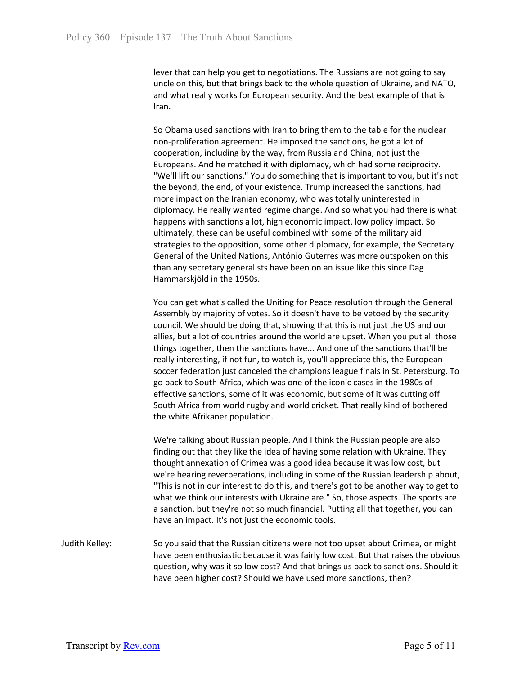lever that can help you get to negotiations. The Russians are not going to say uncle on this, but that brings back to the whole question of Ukraine, and NATO, and what really works for European security. And the best example of that is Iran.

So Obama used sanctions with Iran to bring them to the table for the nuclear non-proliferation agreement. He imposed the sanctions, he got a lot of cooperation, including by the way, from Russia and China, not just the Europeans. And he matched it with diplomacy, which had some reciprocity. "We'll lift our sanctions." You do something that is important to you, but it's not the beyond, the end, of your existence. Trump increased the sanctions, had more impact on the Iranian economy, who was totally uninterested in diplomacy. He really wanted regime change. And so what you had there is what happens with sanctions a lot, high economic impact, low policy impact. So ultimately, these can be useful combined with some of the military aid strategies to the opposition, some other diplomacy, for example, the Secretary General of the United Nations, António Guterres was more outspoken on this than any secretary generalists have been on an issue like this since Dag Hammarskjöld in the 1950s.

You can get what's called the Uniting for Peace resolution through the General Assembly by majority of votes. So it doesn't have to be vetoed by the security council. We should be doing that, showing that this is not just the US and our allies, but a lot of countries around the world are upset. When you put all those things together, then the sanctions have... And one of the sanctions that'll be really interesting, if not fun, to watch is, you'll appreciate this, the European soccer federation just canceled the champions league finals in St. Petersburg. To go back to South Africa, which was one of the iconic cases in the 1980s of effective sanctions, some of it was economic, but some of it was cutting off South Africa from world rugby and world cricket. That really kind of bothered the white Afrikaner population.

We're talking about Russian people. And I think the Russian people are also finding out that they like the idea of having some relation with Ukraine. They thought annexation of Crimea was a good idea because it was low cost, but we're hearing reverberations, including in some of the Russian leadership about, "This is not in our interest to do this, and there's got to be another way to get to what we think our interests with Ukraine are." So, those aspects. The sports are a sanction, but they're not so much financial. Putting all that together, you can have an impact. It's not just the economic tools.

Judith Kelley: So you said that the Russian citizens were not too upset about Crimea, or might have been enthusiastic because it was fairly low cost. But that raises the obvious question, why was it so low cost? And that brings us back to sanctions. Should it have been higher cost? Should we have used more sanctions, then?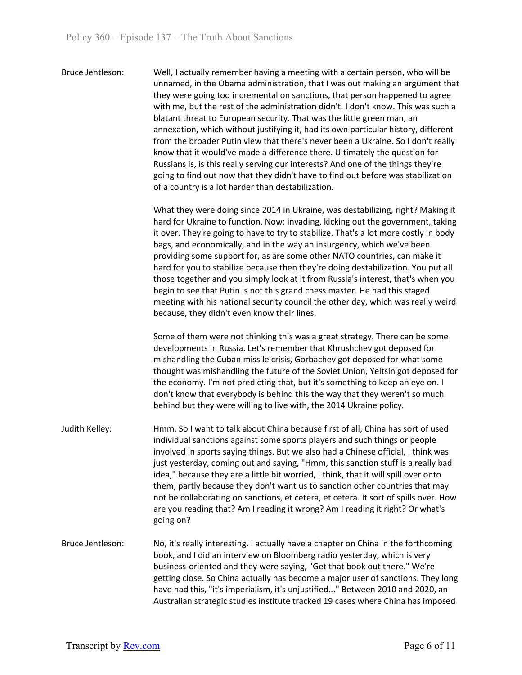Bruce Jentleson: Well, I actually remember having a meeting with a certain person, who will be unnamed, in the Obama administration, that I was out making an argument that they were going too incremental on sanctions, that person happened to agree with me, but the rest of the administration didn't. I don't know. This was such a blatant threat to European security. That was the little green man, an annexation, which without justifying it, had its own particular history, different from the broader Putin view that there's never been a Ukraine. So I don't really know that it would've made a difference there. Ultimately the question for Russians is, is this really serving our interests? And one of the things they're going to find out now that they didn't have to find out before was stabilization of a country is a lot harder than destabilization.

> What they were doing since 2014 in Ukraine, was destabilizing, right? Making it hard for Ukraine to function. Now: invading, kicking out the government, taking it over. They're going to have to try to stabilize. That's a lot more costly in body bags, and economically, and in the way an insurgency, which we've been providing some support for, as are some other NATO countries, can make it hard for you to stabilize because then they're doing destabilization. You put all those together and you simply look at it from Russia's interest, that's when you begin to see that Putin is not this grand chess master. He had this staged meeting with his national security council the other day, which was really weird because, they didn't even know their lines.

> Some of them were not thinking this was a great strategy. There can be some developments in Russia. Let's remember that Khrushchev got deposed for mishandling the Cuban missile crisis, Gorbachev got deposed for what some thought was mishandling the future of the Soviet Union, Yeltsin got deposed for the economy. I'm not predicting that, but it's something to keep an eye on. I don't know that everybody is behind this the way that they weren't so much behind but they were willing to live with, the 2014 Ukraine policy.

- Judith Kelley: Hmm. So I want to talk about China because first of all, China has sort of used individual sanctions against some sports players and such things or people involved in sports saying things. But we also had a Chinese official, I think was just yesterday, coming out and saying, "Hmm, this sanction stuff is a really bad idea," because they are a little bit worried, I think, that it will spill over onto them, partly because they don't want us to sanction other countries that may not be collaborating on sanctions, et cetera, et cetera. It sort of spills over. How are you reading that? Am I reading it wrong? Am I reading it right? Or what's going on?
- Bruce Jentleson: No, it's really interesting. I actually have a chapter on China in the forthcoming book, and I did an interview on Bloomberg radio yesterday, which is very business-oriented and they were saying, "Get that book out there." We're getting close. So China actually has become a major user of sanctions. They long have had this, "it's imperialism, it's unjustified..." Between 2010 and 2020, an Australian strategic studies institute tracked 19 cases where China has imposed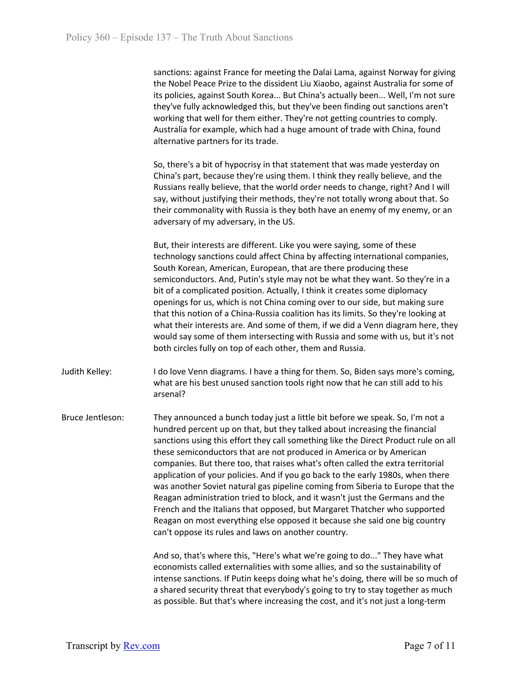sanctions: against France for meeting the Dalai Lama, against Norway for giving the Nobel Peace Prize to the dissident Liu Xiaobo, against Australia for some of its policies, against South Korea... But China's actually been... Well, I'm not sure they've fully acknowledged this, but they've been finding out sanctions aren't working that well for them either. They're not getting countries to comply. Australia for example, which had a huge amount of trade with China, found alternative partners for its trade.

So, there's a bit of hypocrisy in that statement that was made yesterday on China's part, because they're using them. I think they really believe, and the Russians really believe, that the world order needs to change, right? And I will say, without justifying their methods, they're not totally wrong about that. So their commonality with Russia is they both have an enemy of my enemy, or an adversary of my adversary, in the US.

But, their interests are different. Like you were saying, some of these technology sanctions could affect China by affecting international companies, South Korean, American, European, that are there producing these semiconductors. And, Putin's style may not be what they want. So they're in a bit of a complicated position. Actually, I think it creates some diplomacy openings for us, which is not China coming over to our side, but making sure that this notion of a China-Russia coalition has its limits. So they're looking at what their interests are. And some of them, if we did a Venn diagram here, they would say some of them intersecting with Russia and some with us, but it's not both circles fully on top of each other, them and Russia.

- Judith Kelley: I do love Venn diagrams. I have a thing for them. So, Biden says more's coming, what are his best unused sanction tools right now that he can still add to his arsenal?
- Bruce Jentleson: They announced a bunch today just a little bit before we speak. So, I'm not a hundred percent up on that, but they talked about increasing the financial sanctions using this effort they call something like the Direct Product rule on all these semiconductors that are not produced in America or by American companies. But there too, that raises what's often called the extra territorial application of your policies. And if you go back to the early 1980s, when there was another Soviet natural gas pipeline coming from Siberia to Europe that the Reagan administration tried to block, and it wasn't just the Germans and the French and the Italians that opposed, but Margaret Thatcher who supported Reagan on most everything else opposed it because she said one big country can't oppose its rules and laws on another country.

And so, that's where this, "Here's what we're going to do..." They have what economists called externalities with some allies, and so the sustainability of intense sanctions. If Putin keeps doing what he's doing, there will be so much of a shared security threat that everybody's going to try to stay together as much as possible. But that's where increasing the cost, and it's not just a long-term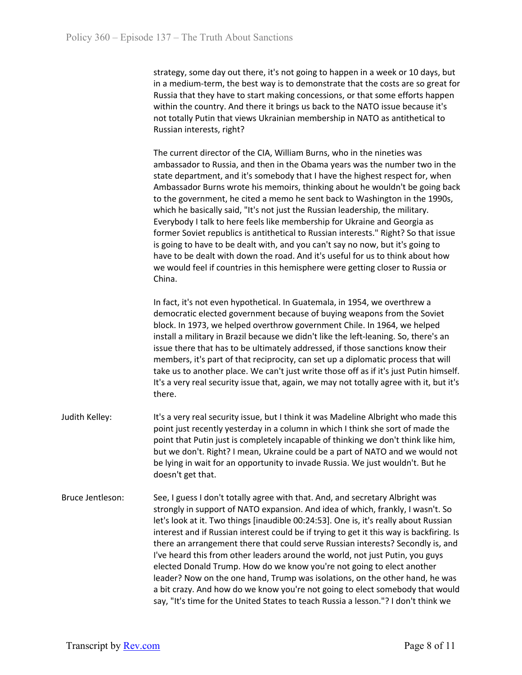strategy, some day out there, it's not going to happen in a week or 10 days, but in a medium-term, the best way is to demonstrate that the costs are so great for Russia that they have to start making concessions, or that some efforts happen within the country. And there it brings us back to the NATO issue because it's not totally Putin that views Ukrainian membership in NATO as antithetical to Russian interests, right?

The current director of the CIA, William Burns, who in the nineties was ambassador to Russia, and then in the Obama years was the number two in the state department, and it's somebody that I have the highest respect for, when Ambassador Burns wrote his memoirs, thinking about he wouldn't be going back to the government, he cited a memo he sent back to Washington in the 1990s, which he basically said, "It's not just the Russian leadership, the military. Everybody I talk to here feels like membership for Ukraine and Georgia as former Soviet republics is antithetical to Russian interests." Right? So that issue is going to have to be dealt with, and you can't say no now, but it's going to have to be dealt with down the road. And it's useful for us to think about how we would feel if countries in this hemisphere were getting closer to Russia or China.

In fact, it's not even hypothetical. In Guatemala, in 1954, we overthrew a democratic elected government because of buying weapons from the Soviet block. In 1973, we helped overthrow government Chile. In 1964, we helped install a military in Brazil because we didn't like the left-leaning. So, there's an issue there that has to be ultimately addressed, if those sanctions know their members, it's part of that reciprocity, can set up a diplomatic process that will take us to another place. We can't just write those off as if it's just Putin himself. It's a very real security issue that, again, we may not totally agree with it, but it's there.

- Judith Kelley: It's a very real security issue, but I think it was Madeline Albright who made this point just recently yesterday in a column in which I think she sort of made the point that Putin just is completely incapable of thinking we don't think like him, but we don't. Right? I mean, Ukraine could be a part of NATO and we would not be lying in wait for an opportunity to invade Russia. We just wouldn't. But he doesn't get that.
- Bruce Jentleson: See, I guess I don't totally agree with that. And, and secretary Albright was strongly in support of NATO expansion. And idea of which, frankly, I wasn't. So let's look at it. Two things [inaudible 00:24:53]. One is, it's really about Russian interest and if Russian interest could be if trying to get it this way is backfiring. Is there an arrangement there that could serve Russian interests? Secondly is, and I've heard this from other leaders around the world, not just Putin, you guys elected Donald Trump. How do we know you're not going to elect another leader? Now on the one hand, Trump was isolations, on the other hand, he was a bit crazy. And how do we know you're not going to elect somebody that would say, "It's time for the United States to teach Russia a lesson."? I don't think we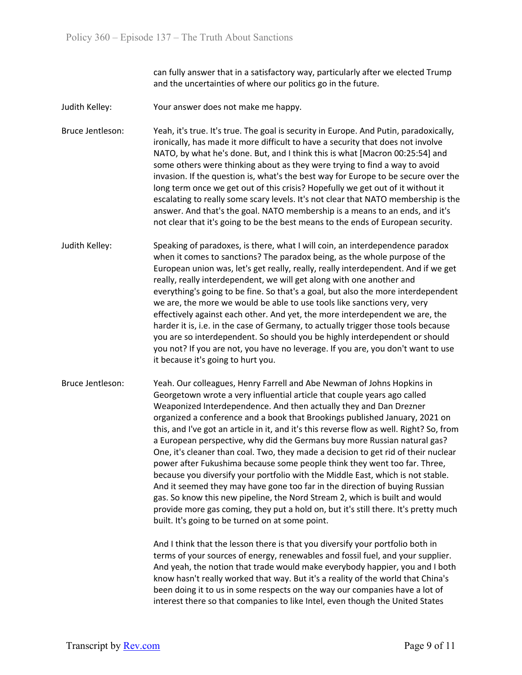can fully answer that in a satisfactory way, particularly after we elected Trump and the uncertainties of where our politics go in the future.

Judith Kelley: Your answer does not make me happy.

Bruce Jentleson: Yeah, it's true. It's true. The goal is security in Europe. And Putin, paradoxically, ironically, has made it more difficult to have a security that does not involve NATO, by what he's done. But, and I think this is what [Macron 00:25:54] and some others were thinking about as they were trying to find a way to avoid invasion. If the question is, what's the best way for Europe to be secure over the long term once we get out of this crisis? Hopefully we get out of it without it escalating to really some scary levels. It's not clear that NATO membership is the answer. And that's the goal. NATO membership is a means to an ends, and it's not clear that it's going to be the best means to the ends of European security.

- Judith Kelley: Speaking of paradoxes, is there, what I will coin, an interdependence paradox when it comes to sanctions? The paradox being, as the whole purpose of the European union was, let's get really, really, really interdependent. And if we get really, really interdependent, we will get along with one another and everything's going to be fine. So that's a goal, but also the more interdependent we are, the more we would be able to use tools like sanctions very, very effectively against each other. And yet, the more interdependent we are, the harder it is, i.e. in the case of Germany, to actually trigger those tools because you are so interdependent. So should you be highly interdependent or should you not? If you are not, you have no leverage. If you are, you don't want to use it because it's going to hurt you.
- Bruce Jentleson: Yeah. Our colleagues, Henry Farrell and Abe Newman of Johns Hopkins in Georgetown wrote a very influential article that couple years ago called Weaponized Interdependence. And then actually they and Dan Drezner organized a conference and a book that Brookings published January, 2021 on this, and I've got an article in it, and it's this reverse flow as well. Right? So, from a European perspective, why did the Germans buy more Russian natural gas? One, it's cleaner than coal. Two, they made a decision to get rid of their nuclear power after Fukushima because some people think they went too far. Three, because you diversify your portfolio with the Middle East, which is not stable. And it seemed they may have gone too far in the direction of buying Russian gas. So know this new pipeline, the Nord Stream 2, which is built and would provide more gas coming, they put a hold on, but it's still there. It's pretty much built. It's going to be turned on at some point.

And I think that the lesson there is that you diversify your portfolio both in terms of your sources of energy, renewables and fossil fuel, and your supplier. And yeah, the notion that trade would make everybody happier, you and I both know hasn't really worked that way. But it's a reality of the world that China's been doing it to us in some respects on the way our companies have a lot of interest there so that companies to like Intel, even though the United States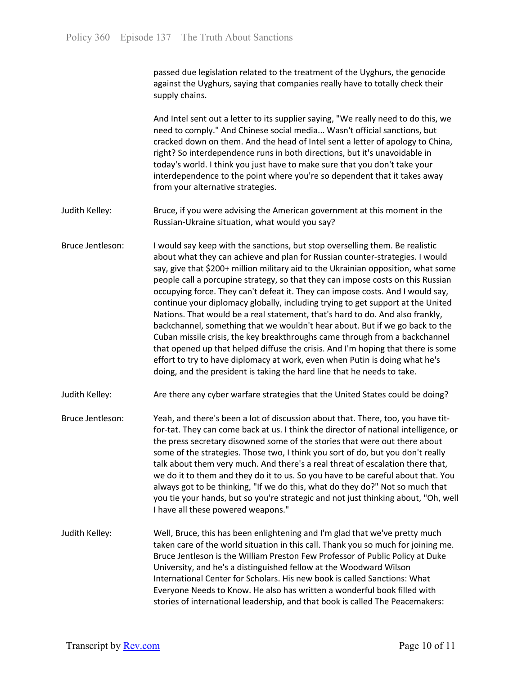passed due legislation related to the treatment of the Uyghurs, the genocide against the Uyghurs, saying that companies really have to totally check their supply chains.

And Intel sent out a letter to its supplier saying, "We really need to do this, we need to comply." And Chinese social media... Wasn't official sanctions, but cracked down on them. And the head of Intel sent a letter of apology to China, right? So interdependence runs in both directions, but it's unavoidable in today's world. I think you just have to make sure that you don't take your interdependence to the point where you're so dependent that it takes away from your alternative strategies.

- Judith Kelley: Bruce, if you were advising the American government at this moment in the Russian-Ukraine situation, what would you say?
- Bruce Jentleson: I would say keep with the sanctions, but stop overselling them. Be realistic about what they can achieve and plan for Russian counter-strategies. I would say, give that \$200+ million military aid to the Ukrainian opposition, what some people call a porcupine strategy, so that they can impose costs on this Russian occupying force. They can't defeat it. They can impose costs. And I would say, continue your diplomacy globally, including trying to get support at the United Nations. That would be a real statement, that's hard to do. And also frankly, backchannel, something that we wouldn't hear about. But if we go back to the Cuban missile crisis, the key breakthroughs came through from a backchannel that opened up that helped diffuse the crisis. And I'm hoping that there is some effort to try to have diplomacy at work, even when Putin is doing what he's doing, and the president is taking the hard line that he needs to take.
- Judith Kelley: Are there any cyber warfare strategies that the United States could be doing?
- Bruce Jentleson: Yeah, and there's been a lot of discussion about that. There, too, you have titfor-tat. They can come back at us. I think the director of national intelligence, or the press secretary disowned some of the stories that were out there about some of the strategies. Those two, I think you sort of do, but you don't really talk about them very much. And there's a real threat of escalation there that, we do it to them and they do it to us. So you have to be careful about that. You always got to be thinking, "If we do this, what do they do?" Not so much that you tie your hands, but so you're strategic and not just thinking about, "Oh, well I have all these powered weapons."
- Judith Kelley: Well, Bruce, this has been enlightening and I'm glad that we've pretty much taken care of the world situation in this call. Thank you so much for joining me. Bruce Jentleson is the William Preston Few Professor of Public Policy at Duke University, and he's a distinguished fellow at the Woodward Wilson International Center for Scholars. His new book is called Sanctions: What Everyone Needs to Know. He also has written a wonderful book filled with stories of international leadership, and that book is called The Peacemakers: